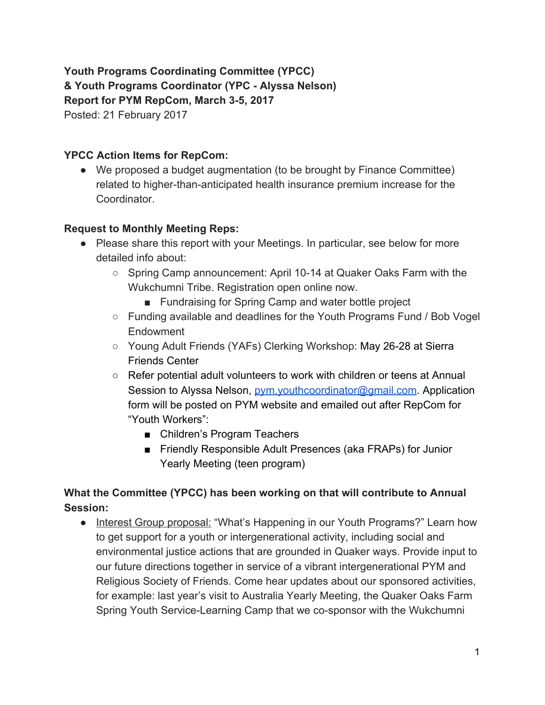**Youth Programs Coordinating Committee (YPCC) & Youth Programs Coordinator (YPC - Alyssa Nelson) Report for PYM RepCom, March 3-5, 2017** Posted: 21 February 2017

### **YPCC Action Items for RepCom:**

• We proposed a budget augmentation (to be brought by Finance Committee) related to higher-than-anticipated health insurance premium increase for the Coordinator.

#### **Request to Monthly Meeting Reps:**

- Please share this report with your Meetings. In particular, see below for more detailed info about:
	- Spring Camp announcement: April 10-14 at Quaker Oaks Farm with the Wukchumni Tribe. Registration open online now.
		- Fundraising for Spring Camp and water bottle project
	- Funding available and deadlines for the Youth Programs Fund / Bob Vogel Endowment
	- Young Adult Friends (YAFs) Clerking Workshop: May 26-28 at Sierra Friends Center
	- Refer potential adult volunteers to work with children or teens at Annual Session to Alyssa Nelson, *[pym.youthcoordinator@gmail.com.](mailto:pym.youthcoordinator@gmail.com)* Application form will be posted on PYM website and emailed out after RepCom for "Youth Workers":
		- Children's Program Teachers
		- Friendly Responsible Adult Presences (aka FRAPs) for Junior Yearly Meeting (teen program)

## **What the Committee (YPCC) has been working on that will contribute to Annual Session:**

• Interest Group proposal: "What's Happening in our Youth Programs?" Learn how to get support for a youth or intergenerational activity, including social and environmental justice actions that are grounded in Quaker ways. Provide input to our future directions together in service of a vibrant intergenerational PYM and Religious Society of Friends. Come hear updates about our sponsored activities, for example: last year's visit to Australia Yearly Meeting, the Quaker Oaks Farm Spring Youth Service-Learning Camp that we co-sponsor with the Wukchumni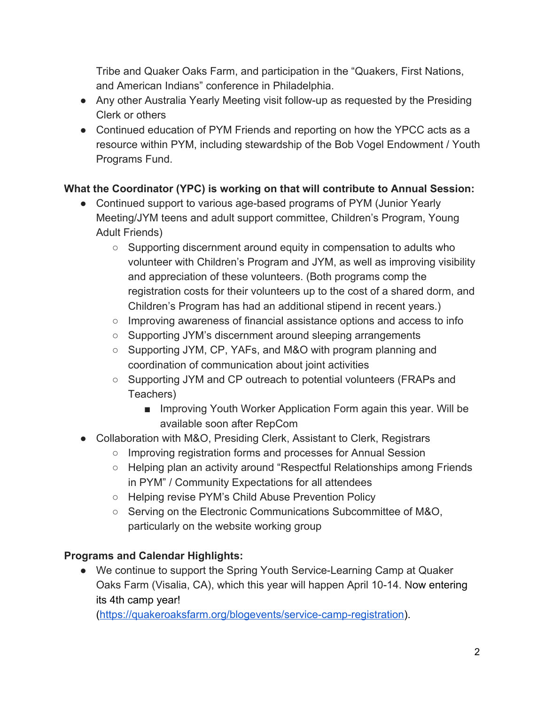Tribe and Quaker Oaks Farm, and participation in the "Quakers, First Nations, and American Indians" conference in Philadelphia.

- Any other Australia Yearly Meeting visit follow-up as requested by the Presiding Clerk or others
- Continued education of PYM Friends and reporting on how the YPCC acts as a resource within PYM, including stewardship of the Bob Vogel Endowment / Youth Programs Fund.

# **What the Coordinator (YPC) is working on that will contribute to Annual Session:**

- Continued support to various age-based programs of PYM (Junior Yearly Meeting/JYM teens and adult support committee, Children's Program, Young Adult Friends)
	- $\circ$  Supporting discernment around equity in compensation to adults who volunteer with Children's Program and JYM, as well as improving visibility and appreciation of these volunteers. (Both programs comp the registration costs for their volunteers up to the cost of a shared dorm, and Children's Program has had an additional stipend in recent years.)
	- Improving awareness of financial assistance options and access to info
	- Supporting JYM's discernment around sleeping arrangements
	- Supporting JYM, CP, YAFs, and M&O with program planning and coordination of communication about joint activities
	- Supporting JYM and CP outreach to potential volunteers (FRAPs and Teachers)
		- Improving Youth Worker Application Form again this year. Will be available soon after RepCom
- Collaboration with M&O, Presiding Clerk, Assistant to Clerk, Registrars
	- Improving registration forms and processes for Annual Session
	- Helping plan an activity around "Respectful Relationships among Friends in PYM" / Community Expectations for all attendees
	- Helping revise PYM's Child Abuse Prevention Policy
	- Serving on the Electronic Communications Subcommittee of M&O, particularly on the website working group

# **Programs and Calendar Highlights:**

• We continue to support the Spring Youth Service-Learning Camp at Quaker Oaks Farm (Visalia, CA), which this year will happen April 10-14. Now entering its 4th camp year!

([https://quakeroaksfarm.org/blogevents/service-camp-registration\)](https://quakeroaksfarm.org/blogevents/service-camp-registration).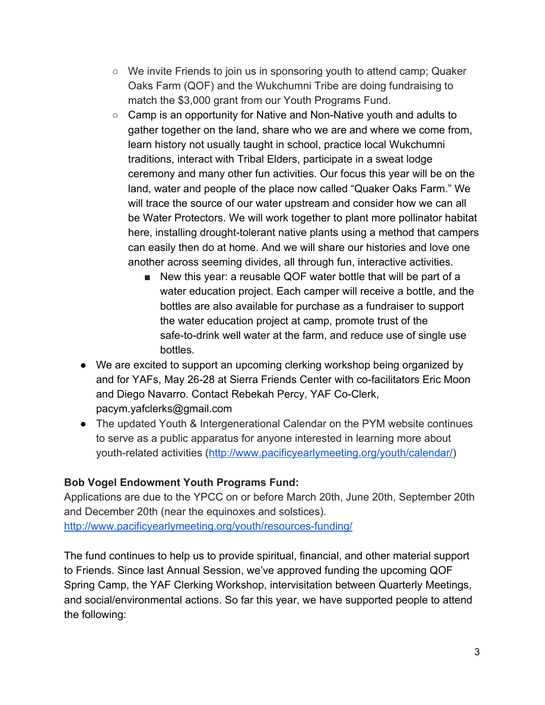- We invite Friends to join us in sponsoring youth to attend camp; Quaker Oaks Farm (QOF) and the Wukchumni Tribe are doing fundraising to match the \$3,000 grant from our Youth Programs Fund.
- Camp is an opportunity for Native and Non-Native youth and adults to gather together on the land, share who we are and where we come from, learn history not usually taught in school, practice local Wukchumni traditions, interact with Tribal Elders, participate in a sweat lodge ceremony and many other fun activities. Our focus this year will be on the land, water and people of the place now called "Quaker Oaks Farm." We will trace the source of our water upstream and consider how we can all be Water Protectors. We will work together to plant more pollinator habitat here, installing drought-tolerant native plants using a method that campers can easily then do at home. And we will share our histories and love one another across seeming divides, all through fun, interactive activities.
	- New this year: a reusable QOF water bottle that will be part of a water education project. Each camper will receive a bottle, and the bottles are also available for purchase as a fundraiser to support the water education project at camp, promote trust of the safe-to-drink well water at the farm, and reduce use of single use bottles.
- We are excited to support an upcoming clerking workshop being organized by and for YAFs, May 26-28 at Sierra Friends Center with co-facilitators Eric Moon and Diego Navarro. Contact Rebekah Percy, YAF Co-Clerk, pacym.yafclerks@gmail.com
- The updated Youth & Intergenerational Calendar on the PYM website continues to serve as a public apparatus for anyone interested in learning more about youth-related activities [\(http://www.pacificyearlymeeting.org/youth/calendar/\)](http://www.pacificyearlymeeting.org/youth/calendar/)

### **Bob Vogel Endowment Youth Programs Fund:**

Applications are due to the YPCC on or before March 20th, June 20th, September 20th and December 20th (near the equinoxes and solstices).

<http://www.pacificyearlymeeting.org/youth/resources-funding/>

The fund continues to help us to provide spiritual, financial, and other material support to Friends. Since last Annual Session, we've approved funding the upcoming QOF Spring Camp, the YAF Clerking Workshop, intervisitation between Quarterly Meetings, and social/environmental actions. So far this year, we have supported people to attend the following: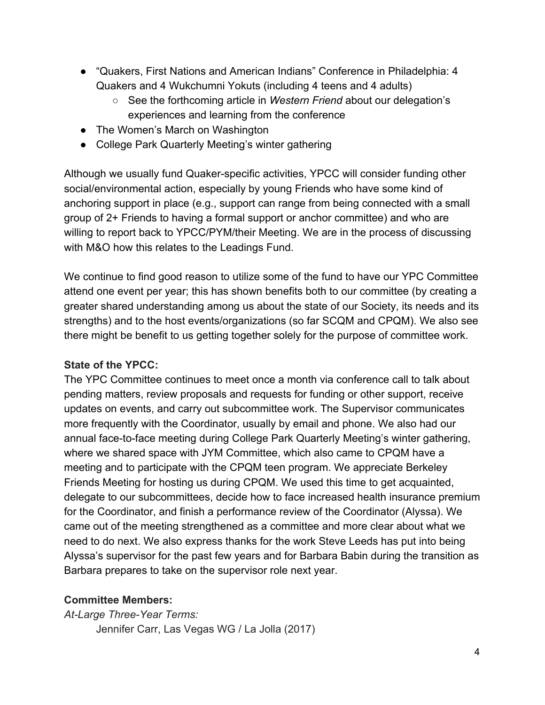- "Quakers, First Nations and American Indians" Conference in Philadelphia: 4 Quakers and 4 Wukchumni Yokuts (including 4 teens and 4 adults)
	- See the forthcoming article in *Western Friend* about our delegation's experiences and learning from the conference
- The Women's March on Washington
- College Park Quarterly Meeting's winter gathering

Although we usually fund Quaker-specific activities, YPCC will consider funding other social/environmental action, especially by young Friends who have some kind of anchoring support in place (e.g., support can range from being connected with a small group of 2+ Friends to having a formal support or anchor committee) and who are willing to report back to YPCC/PYM/their Meeting. We are in the process of discussing with M&O how this relates to the Leadings Fund.

We continue to find good reason to utilize some of the fund to have our YPC Committee attend one event per year; this has shown benefits both to our committee (by creating a greater shared understanding among us about the state of our Society, its needs and its strengths) and to the host events/organizations (so far SCQM and CPQM). We also see there might be benefit to us getting together solely for the purpose of committee work.

#### **State of the YPCC:**

The YPC Committee continues to meet once a month via conference call to talk about pending matters, review proposals and requests for funding or other support, receive updates on events, and carry out subcommittee work. The Supervisor communicates more frequently with the Coordinator, usually by email and phone. We also had our annual face-to-face meeting during College Park Quarterly Meeting's winter gathering, where we shared space with JYM Committee, which also came to CPQM have a meeting and to participate with the CPQM teen program. We appreciate Berkeley Friends Meeting for hosting us during CPQM. We used this time to get acquainted, delegate to our subcommittees, decide how to face increased health insurance premium for the Coordinator, and finish a performance review of the Coordinator (Alyssa). We came out of the meeting strengthened as a committee and more clear about what we need to do next. We also express thanks for the work Steve Leeds has put into being Alyssa's supervisor for the past few years and for Barbara Babin during the transition as Barbara prepares to take on the supervisor role next year.

### **Committee Members:**

*At-Large Three-Year Terms:* Jennifer Carr, Las Vegas WG / La Jolla (2017)